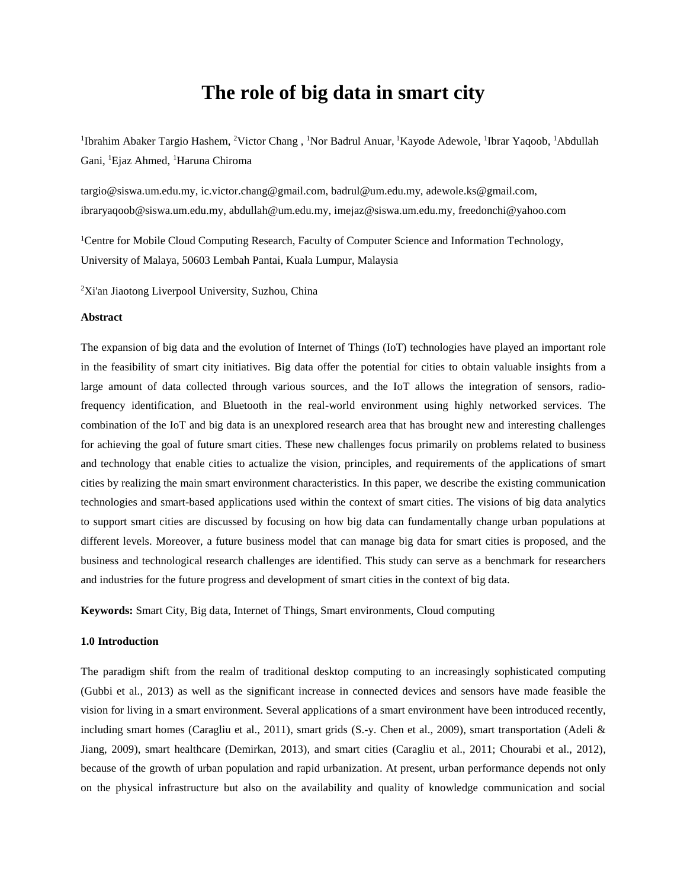# **The role of big data in smart city**

<sup>1</sup>Ibrahim Abaker Targio Hashem, <sup>2</sup>Victor Chang, <sup>1</sup>Nor Badrul Anuar, <sup>1</sup>Kayode Adewole, <sup>1</sup>Ibrar Yaqoob, <sup>1</sup>Abdullah Gani, <sup>1</sup>Ejaz Ahmed, <sup>1</sup>Haruna Chiroma

targio@siswa.um.edu.my, ic.victor.chang@gmail.com, badrul@um.edu.my, adewole.ks@gmail.com, [ibraryaqoob@siswa.um.edu.my,](mailto:ibraryaqoob@siswa.um.edu.my) abdullah@um.edu.my, [imejaz@siswa.um.edu.my,](mailto:imejaz@siswa.um.edu.my) [freedonchi@yahoo.com](mailto:freedonchi@yahoo.com)

<sup>1</sup>Centre for Mobile Cloud Computing Research, Faculty of Computer Science and Information Technology, University of Malaya, 50603 Lembah Pantai, Kuala Lumpur, Malaysia

<sup>2</sup>Xi'an Jiaotong Liverpool University, Suzhou, China

# **Abstract**

The expansion of big data and the evolution of Internet of Things (IoT) technologies have played an important role in the feasibility of smart city initiatives. Big data offer the potential for cities to obtain valuable insights from a large amount of data collected through various sources, and the IoT allows the integration of sensors, radiofrequency identification, and Bluetooth in the real-world environment using highly networked services. The combination of the IoT and big data is an unexplored research area that has brought new and interesting challenges for achieving the goal of future smart cities. These new challenges focus primarily on problems related to business and technology that enable cities to actualize the vision, principles, and requirements of the applications of smart cities by realizing the main smart environment characteristics. In this paper, we describe the existing communication technologies and smart-based applications used within the context of smart cities. The visions of big data analytics to support smart cities are discussed by focusing on how big data can fundamentally change urban populations at different levels. Moreover, a future business model that can manage big data for smart cities is proposed, and the business and technological research challenges are identified. This study can serve as a benchmark for researchers and industries for the future progress and development of smart cities in the context of big data.

**Keywords:** Smart City, Big data, Internet of Things, Smart environments, Cloud computing

## **1.0 Introduction**

The paradigm shift from the realm of traditional desktop computing to an increasingly sophisticated computing (Gubbi et al., 2013) as well as the significant increase in connected devices and sensors have made feasible the vision for living in a smart environment. Several applications of a smart environment have been introduced recently, including smart homes (Caragliu et al., 2011), smart grids (S.-y. Chen et al., 2009), smart transportation (Adeli & Jiang, 2009), smart healthcare (Demirkan, 2013), and smart cities (Caragliu et al., 2011; Chourabi et al., 2012), because of the growth of urban population and rapid urbanization. At present, urban performance depends not only on the physical infrastructure but also on the availability and quality of knowledge communication and social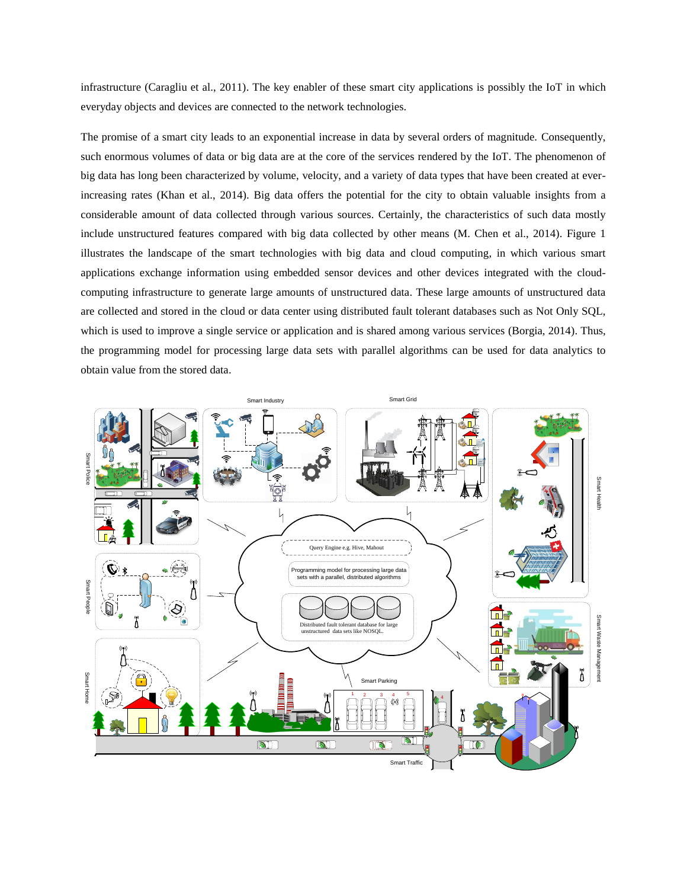infrastructure (Caragliu et al., 2011). The key enabler of these smart city applications is possibly the IoT in which everyday objects and devices are connected to the network technologies.

The promise of a smart city leads to an exponential increase in data by several orders of magnitude. Consequently, such enormous volumes of data or big data are at the core of the services rendered by the IoT. The phenomenon of big data has long been characterized by volume, velocity, and a variety of data types that have been created at everincreasing rates (Khan et al., 2014). Big data offers the potential for the city to obtain valuable insights from a considerable amount of data collected through various sources. Certainly, the characteristics of such data mostly include unstructured features compared with big data collected by other means (M. Chen et al., 2014). Figure 1 illustrates the landscape of the smart technologies with big data and cloud computing, in which various smart applications exchange information using embedded sensor devices and other devices integrated with the cloudcomputing infrastructure to generate large amounts of unstructured data. These large amounts of unstructured data are collected and stored in the cloud or data center using distributed fault tolerant databases such as Not Only SQL, which is used to improve a single service or application and is shared among various services (Borgia, 2014). Thus, the programming model for processing large data sets with parallel algorithms can be used for data analytics to obtain value from the stored data.

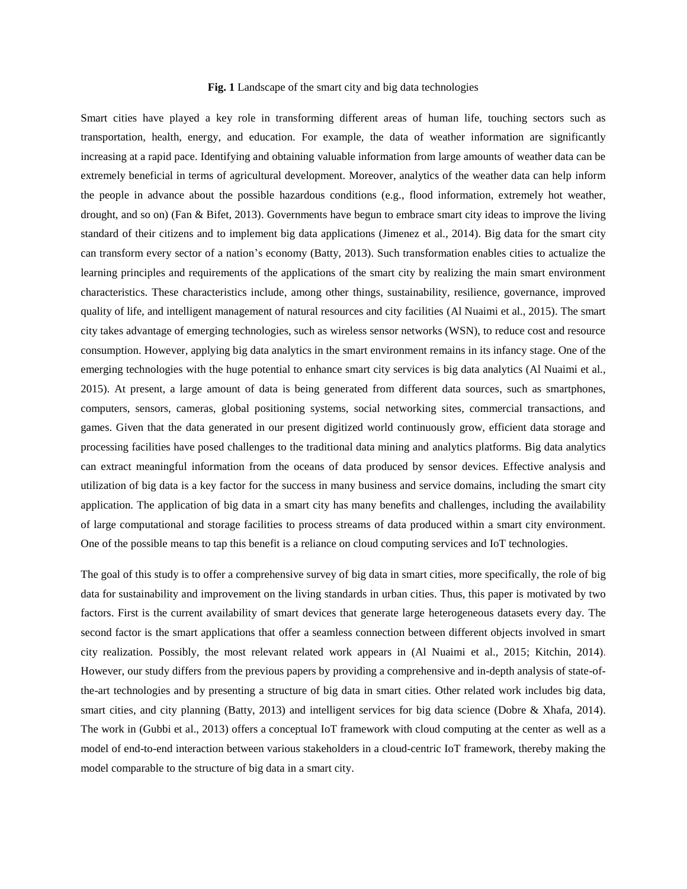## **Fig. 1** Landscape of the smart city and big data technologies

Smart cities have played a key role in transforming different areas of human life, touching sectors such as transportation, health, energy, and education. For example, the data of weather information are significantly increasing at a rapid pace. Identifying and obtaining valuable information from large amounts of weather data can be extremely beneficial in terms of agricultural development. Moreover, analytics of the weather data can help inform the people in advance about the possible hazardous conditions (e.g., flood information, extremely hot weather, drought, and so on) (Fan & Bifet, 2013). Governments have begun to embrace smart city ideas to improve the living standard of their citizens and to implement big data applications (Jimenez et al., 2014). Big data for the smart city can transform every sector of a nation's economy (Batty, 2013). Such transformation enables cities to actualize the learning principles and requirements of the applications of the smart city by realizing the main smart environment characteristics. These characteristics include, among other things, sustainability, resilience, governance, improved quality of life, and intelligent management of natural resources and city facilities (Al Nuaimi et al., 2015). The smart city takes advantage of emerging technologies, such as wireless sensor networks (WSN), to reduce cost and resource consumption. However, applying big data analytics in the smart environment remains in its infancy stage. One of the emerging technologies with the huge potential to enhance smart city services is big data analytics (Al Nuaimi et al., 2015). At present, a large amount of data is being generated from different data sources, such as smartphones, computers, sensors, cameras, global positioning systems, social networking sites, commercial transactions, and games. Given that the data generated in our present digitized world continuously grow, efficient data storage and processing facilities have posed challenges to the traditional data mining and analytics platforms. Big data analytics can extract meaningful information from the oceans of data produced by sensor devices. Effective analysis and utilization of big data is a key factor for the success in many business and service domains, including the smart city application. The application of big data in a smart city has many benefits and challenges, including the availability of large computational and storage facilities to process streams of data produced within a smart city environment. One of the possible means to tap this benefit is a reliance on cloud computing services and IoT technologies.

The goal of this study is to offer a comprehensive survey of big data in smart cities, more specifically, the role of big data for sustainability and improvement on the living standards in urban cities. Thus, this paper is motivated by two factors. First is the current availability of smart devices that generate large heterogeneous datasets every day. The second factor is the smart applications that offer a seamless connection between different objects involved in smart city realization. Possibly, the most relevant related work appears in (Al Nuaimi et al., 2015; Kitchin, 2014). However, our study differs from the previous papers by providing a comprehensive and in-depth analysis of state-ofthe-art technologies and by presenting a structure of big data in smart cities. Other related work includes big data, smart cities, and city planning (Batty, 2013) and intelligent services for big data science (Dobre & Xhafa, 2014). The work in (Gubbi et al., 2013) offers a conceptual IoT framework with cloud computing at the center as well as a model of end-to-end interaction between various stakeholders in a cloud-centric IoT framework, thereby making the model comparable to the structure of big data in a smart city.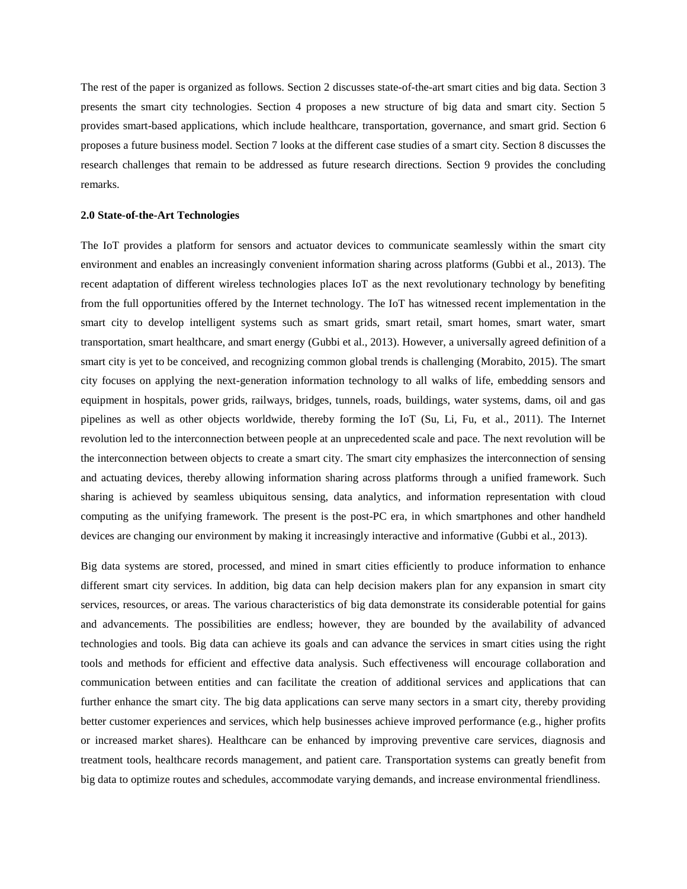The rest of the paper is organized as follows. Section 2 discusses state-of-the-art smart cities and big data. Section 3 presents the smart city technologies. Section 4 proposes a new structure of big data and smart city. Section 5 provides smart-based applications, which include healthcare, transportation, governance, and smart grid. Section 6 proposes a future business model. Section 7 looks at the different case studies of a smart city. Section 8 discusses the research challenges that remain to be addressed as future research directions. Section 9 provides the concluding remarks.

#### **2.0 State-of-the-Art Technologies**

The IoT provides a platform for sensors and actuator devices to communicate seamlessly within the smart city environment and enables an increasingly convenient information sharing across platforms (Gubbi et al., 2013). The recent adaptation of different wireless technologies places IoT as the next revolutionary technology by benefiting from the full opportunities offered by the Internet technology. The IoT has witnessed recent implementation in the smart city to develop intelligent systems such as smart grids, smart retail, smart homes, smart water, smart transportation, smart healthcare, and smart energy (Gubbi et al., 2013). However, a universally agreed definition of a smart city is yet to be conceived, and recognizing common global trends is challenging (Morabito, 2015). The smart city focuses on applying the next-generation information technology to all walks of life, embedding sensors and equipment in hospitals, power grids, railways, bridges, tunnels, roads, buildings, water systems, dams, oil and gas pipelines as well as other objects worldwide, thereby forming the IoT (Su, Li, Fu, et al., 2011). The Internet revolution led to the interconnection between people at an unprecedented scale and pace. The next revolution will be the interconnection between objects to create a smart city. The smart city emphasizes the interconnection of sensing and actuating devices, thereby allowing information sharing across platforms through a unified framework. Such sharing is achieved by seamless ubiquitous sensing, data analytics, and information representation with cloud computing as the unifying framework. The present is the post-PC era, in which smartphones and other handheld devices are changing our environment by making it increasingly interactive and informative (Gubbi et al., 2013).

Big data systems are stored, processed, and mined in smart cities efficiently to produce information to enhance different smart city services. In addition, big data can help decision makers plan for any expansion in smart city services, resources, or areas. The various characteristics of big data demonstrate its considerable potential for gains and advancements. The possibilities are endless; however, they are bounded by the availability of advanced technologies and tools. Big data can achieve its goals and can advance the services in smart cities using the right tools and methods for efficient and effective data analysis. Such effectiveness will encourage collaboration and communication between entities and can facilitate the creation of additional services and applications that can further enhance the smart city. The big data applications can serve many sectors in a smart city, thereby providing better customer experiences and services, which help businesses achieve improved performance (e.g., higher profits or increased market shares). Healthcare can be enhanced by improving preventive care services, diagnosis and treatment tools, healthcare records management, and patient care. Transportation systems can greatly benefit from big data to optimize routes and schedules, accommodate varying demands, and increase environmental friendliness.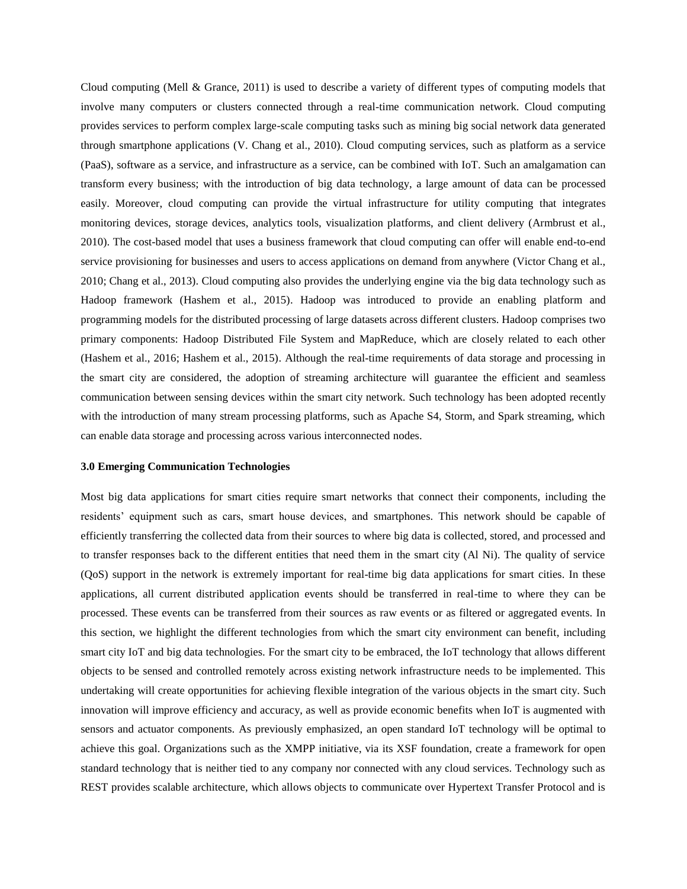Cloud computing (Mell & Grance, 2011) is used to describe a variety of different types of computing models that involve many computers or clusters connected through a real-time communication network. Cloud computing provides services to perform complex large-scale computing tasks such as mining big social network data generated through smartphone applications (V. Chang et al., 2010). Cloud computing services, such as platform as a service (PaaS), software as a service, and infrastructure as a service, can be combined with IoT. Such an amalgamation can transform every business; with the introduction of big data technology, a large amount of data can be processed easily. Moreover, cloud computing can provide the virtual infrastructure for utility computing that integrates monitoring devices, storage devices, analytics tools, visualization platforms, and client delivery (Armbrust et al., 2010). The cost-based model that uses a business framework that cloud computing can offer will enable end-to-end service provisioning for businesses and users to access applications on demand from anywhere (Victor Chang et al., 2010; Chang et al., 2013). Cloud computing also provides the underlying engine via the big data technology such as Hadoop framework (Hashem et al., 2015). Hadoop was introduced to provide an enabling platform and programming models for the distributed processing of large datasets across different clusters. Hadoop comprises two primary components: Hadoop Distributed File System and MapReduce, which are closely related to each other (Hashem et al., 2016; Hashem et al., 2015). Although the real-time requirements of data storage and processing in the smart city are considered, the adoption of streaming architecture will guarantee the efficient and seamless communication between sensing devices within the smart city network. Such technology has been adopted recently with the introduction of many stream processing platforms, such as Apache S4, Storm, and Spark streaming, which can enable data storage and processing across various interconnected nodes.

#### **3.0 Emerging Communication Technologies**

Most big data applications for smart cities require smart networks that connect their components, including the residents' equipment such as cars, smart house devices, and smartphones. This network should be capable of efficiently transferring the collected data from their sources to where big data is collected, stored, and processed and to transfer responses back to the different entities that need them in the smart city (Al Ni). The quality of service (QoS) support in the network is extremely important for real-time big data applications for smart cities. In these applications, all current distributed application events should be transferred in real-time to where they can be processed. These events can be transferred from their sources as raw events or as filtered or aggregated events. In this section, we highlight the different technologies from which the smart city environment can benefit, including smart city IoT and big data technologies. For the smart city to be embraced, the IoT technology that allows different objects to be sensed and controlled remotely across existing network infrastructure needs to be implemented. This undertaking will create opportunities for achieving flexible integration of the various objects in the smart city. Such innovation will improve efficiency and accuracy, as well as provide economic benefits when IoT is augmented with sensors and actuator components. As previously emphasized, an open standard IoT technology will be optimal to achieve this goal. Organizations such as the XMPP initiative, via its XSF foundation, create a framework for open standard technology that is neither tied to any company nor connected with any cloud services. Technology such as REST provides scalable architecture, which allows objects to communicate over Hypertext Transfer Protocol and is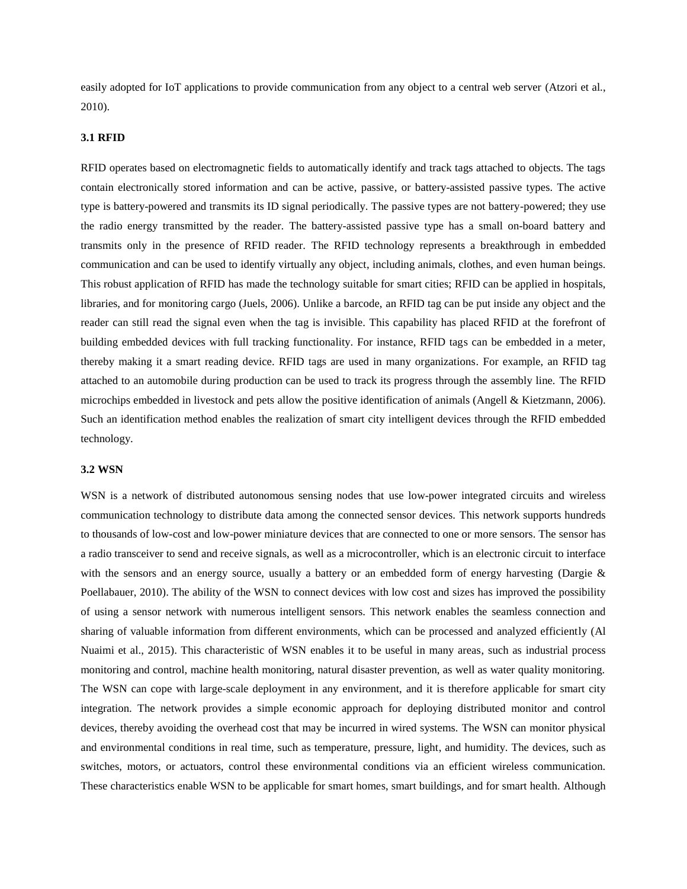easily adopted for IoT applications to provide communication from any object to a central web server (Atzori et al., 2010).

## **3.1 RFID**

RFID operates based on electromagnetic fields to automatically identify and track tags attached to objects. The tags contain electronically stored information and can be active, passive, or battery-assisted passive types. The active type is battery-powered and transmits its ID signal periodically. The passive types are not battery-powered; they use the radio energy transmitted by the reader. The battery-assisted passive type has a small on-board battery and transmits only in the presence of RFID reader. The RFID technology represents a breakthrough in embedded communication and can be used to identify virtually any object, including animals, clothes, and even human beings. This robust application of RFID has made the technology suitable for smart cities; RFID can be applied in hospitals, libraries, and for monitoring cargo (Juels, 2006). Unlike a barcode, an RFID tag can be put inside any object and the reader can still read the signal even when the tag is invisible. This capability has placed RFID at the forefront of building embedded devices with full tracking functionality. For instance, RFID tags can be embedded in a meter, thereby making it a smart reading device. RFID tags are used in many organizations. For example, an RFID tag attached to an automobile during production can be used to track its progress through the assembly line. The RFID microchips embedded in livestock and pets allow the positive identification of animals (Angell & Kietzmann, 2006). Such an identification method enables the realization of smart city intelligent devices through the RFID embedded technology.

## **3.2 WSN**

WSN is a network of distributed autonomous sensing nodes that use low-power integrated circuits and wireless communication technology to distribute data among the connected sensor devices. This network supports hundreds to thousands of low-cost and low-power miniature devices that are connected to one or more sensors. The sensor has a radio transceiver to send and receive signals, as well as a microcontroller, which is an electronic circuit to interface with the sensors and an energy source, usually a battery or an embedded form of energy harvesting (Dargie & Poellabauer, 2010). The ability of the WSN to connect devices with low cost and sizes has improved the possibility of using a sensor network with numerous intelligent sensors. This network enables the seamless connection and sharing of valuable information from different environments, which can be processed and analyzed efficiently (Al Nuaimi et al., 2015). This characteristic of WSN enables it to be useful in many areas, such as industrial process monitoring and control, machine health monitoring, natural disaster prevention, as well as water quality monitoring. The WSN can cope with large-scale deployment in any environment, and it is therefore applicable for smart city integration. The network provides a simple economic approach for deploying distributed monitor and control devices, thereby avoiding the overhead cost that may be incurred in wired systems. The WSN can monitor physical and environmental conditions in real time, such as temperature, pressure, light, and humidity. The devices, such as switches, motors, or actuators, control these environmental conditions via an efficient wireless communication. These characteristics enable WSN to be applicable for smart homes, smart buildings, and for smart health. Although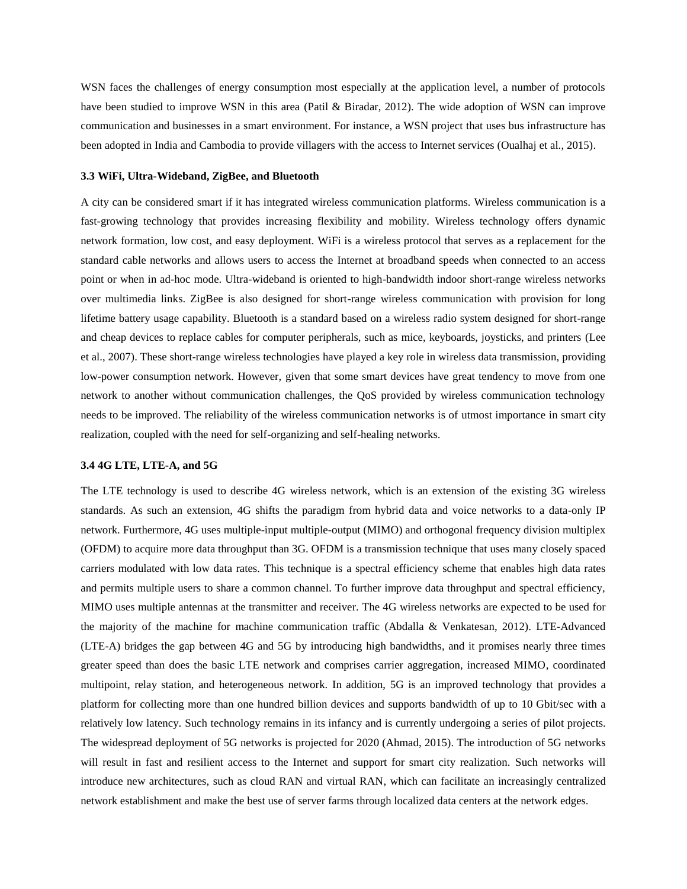WSN faces the challenges of energy consumption most especially at the application level, a number of protocols have been studied to improve WSN in this area (Patil & Biradar, 2012). The wide adoption of WSN can improve communication and businesses in a smart environment. For instance, a WSN project that uses bus infrastructure has been adopted in India and Cambodia to provide villagers with the access to Internet services (Oualhaj et al., 2015).

#### **3.3 WiFi, Ultra-Wideband, ZigBee, and Bluetooth**

A city can be considered smart if it has integrated wireless communication platforms. Wireless communication is a fast-growing technology that provides increasing flexibility and mobility. Wireless technology offers dynamic network formation, low cost, and easy deployment. WiFi is a wireless protocol that serves as a replacement for the standard cable networks and allows users to access the Internet at broadband speeds when connected to an access point or when in ad-hoc mode. Ultra-wideband is oriented to high-bandwidth indoor short-range wireless networks over multimedia links. ZigBee is also designed for short-range wireless communication with provision for long lifetime battery usage capability. Bluetooth is a standard based on a wireless radio system designed for short-range and cheap devices to replace cables for computer peripherals, such as mice, keyboards, joysticks, and printers (Lee et al., 2007). These short-range wireless technologies have played a key role in wireless data transmission, providing low-power consumption network. However, given that some smart devices have great tendency to move from one network to another without communication challenges, the QoS provided by wireless communication technology needs to be improved. The reliability of the wireless communication networks is of utmost importance in smart city realization, coupled with the need for self-organizing and self-healing networks.

#### **3.4 4G LTE, LTE-A, and 5G**

The LTE technology is used to describe 4G wireless network, which is an extension of the existing 3G wireless standards. As such an extension, 4G shifts the paradigm from hybrid data and voice networks to a data-only IP network. Furthermore, 4G uses multiple-input multiple-output (MIMO) and orthogonal frequency division multiplex (OFDM) to acquire more data throughput than 3G. OFDM is a transmission technique that uses many closely spaced carriers modulated with low data rates. This technique is a spectral efficiency scheme that enables high data rates and permits multiple users to share a common channel. To further improve data throughput and spectral efficiency, MIMO uses multiple antennas at the transmitter and receiver. The 4G wireless networks are expected to be used for the majority of the machine for machine communication traffic (Abdalla & Venkatesan, 2012). LTE-Advanced (LTE-A) bridges the gap between 4G and 5G by introducing high bandwidths, and it promises nearly three times greater speed than does the basic LTE network and comprises carrier aggregation, increased MIMO, coordinated multipoint, relay station, and heterogeneous network. In addition, 5G is an improved technology that provides a platform for collecting more than one hundred billion devices and supports bandwidth of up to 10 Gbit/sec with a relatively low latency. Such technology remains in its infancy and is currently undergoing a series of pilot projects. The widespread deployment of 5G networks is projected for 2020 (Ahmad, 2015). The introduction of 5G networks will result in fast and resilient access to the Internet and support for smart city realization. Such networks will introduce new architectures, such as cloud RAN and virtual RAN, which can facilitate an increasingly centralized network establishment and make the best use of server farms through localized data centers at the network edges.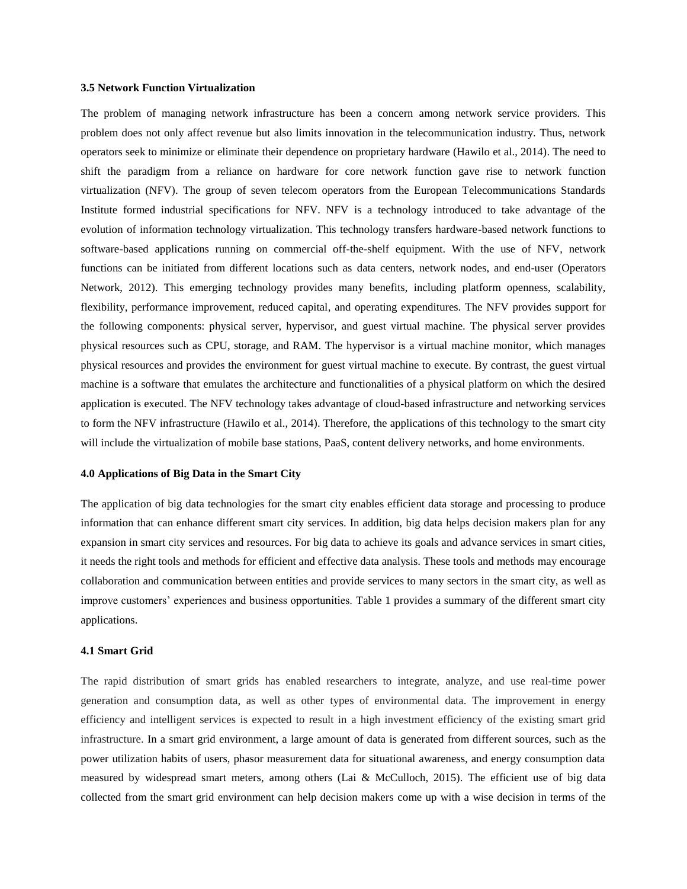#### **3.5 Network Function Virtualization**

The problem of managing network infrastructure has been a concern among network service providers. This problem does not only affect revenue but also limits innovation in the telecommunication industry. Thus, network operators seek to minimize or eliminate their dependence on proprietary hardware (Hawilo et al., 2014). The need to shift the paradigm from a reliance on hardware for core network function gave rise to network function virtualization (NFV). The group of seven telecom operators from the European Telecommunications Standards Institute formed industrial specifications for NFV. NFV is a technology introduced to take advantage of the evolution of information technology virtualization. This technology transfers hardware-based network functions to software-based applications running on commercial off-the-shelf equipment. With the use of NFV, network functions can be initiated from different locations such as data centers, network nodes, and end-user (Operators Network, 2012). This emerging technology provides many benefits, including platform openness, scalability, flexibility, performance improvement, reduced capital, and operating expenditures. The NFV provides support for the following components: physical server, hypervisor, and guest virtual machine. The physical server provides physical resources such as CPU, storage, and RAM. The hypervisor is a virtual machine monitor, which manages physical resources and provides the environment for guest virtual machine to execute. By contrast, the guest virtual machine is a software that emulates the architecture and functionalities of a physical platform on which the desired application is executed. The NFV technology takes advantage of cloud-based infrastructure and networking services to form the NFV infrastructure (Hawilo et al., 2014). Therefore, the applications of this technology to the smart city will include the virtualization of mobile base stations, PaaS, content delivery networks, and home environments.

#### **4.0 Applications of Big Data in the Smart City**

The application of big data technologies for the smart city enables efficient data storage and processing to produce information that can enhance different smart city services. In addition, big data helps decision makers plan for any expansion in smart city services and resources. For big data to achieve its goals and advance services in smart cities, it needs the right tools and methods for efficient and effective data analysis. These tools and methods may encourage collaboration and communication between entities and provide services to many sectors in the smart city, as well as improve customers' experiences and business opportunities. Table 1 provides a summary of the different smart city applications.

#### **4.1 Smart Grid**

The rapid distribution of smart grids has enabled researchers to integrate, analyze, and use real-time power generation and consumption data, as well as other types of environmental data. The improvement in energy efficiency and intelligent services is expected to result in a high investment efficiency of the existing smart grid infrastructure. In a smart grid environment, a large amount of data is generated from different sources, such as the power utilization habits of users, phasor measurement data for situational awareness, and energy consumption data measured by widespread smart meters, among others (Lai & McCulloch, 2015). The efficient use of big data collected from the smart grid environment can help decision makers come up with a wise decision in terms of the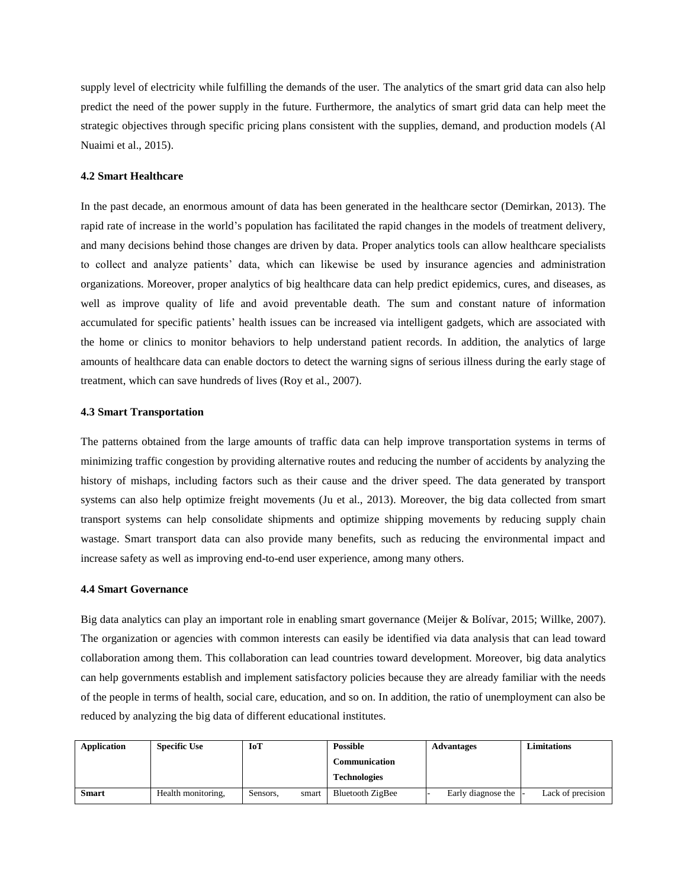supply level of electricity while fulfilling the demands of the user. The analytics of the smart grid data can also help predict the need of the power supply in the future. Furthermore, the analytics of smart grid data can help meet the strategic objectives through specific pricing plans consistent with the supplies, demand, and production models (Al Nuaimi et al., 2015).

#### **4.2 Smart Healthcare**

In the past decade, an enormous amount of data has been generated in the healthcare sector (Demirkan, 2013). The rapid rate of increase in the world's population has facilitated the rapid changes in the models of treatment delivery, and many decisions behind those changes are driven by data. Proper analytics tools can allow healthcare specialists to collect and analyze patients' data, which can likewise be used by insurance agencies and administration organizations. Moreover, proper analytics of big healthcare data can help predict epidemics, cures, and diseases, as well as improve quality of life and avoid preventable death. The sum and constant nature of information accumulated for specific patients' health issues can be increased via intelligent gadgets, which are associated with the home or clinics to monitor behaviors to help understand patient records. In addition, the analytics of large amounts of healthcare data can enable doctors to detect the warning signs of serious illness during the early stage of treatment, which can save hundreds of lives (Roy et al., 2007).

## **4.3 Smart Transportation**

The patterns obtained from the large amounts of traffic data can help improve transportation systems in terms of minimizing traffic congestion by providing alternative routes and reducing the number of accidents by analyzing the history of mishaps, including factors such as their cause and the driver speed. The data generated by transport systems can also help optimize freight movements (Ju et al., 2013). Moreover, the big data collected from smart transport systems can help consolidate shipments and optimize shipping movements by reducing supply chain wastage. Smart transport data can also provide many benefits, such as reducing the environmental impact and increase safety as well as improving end-to-end user experience, among many others.

#### **4.4 Smart Governance**

Big data analytics can play an important role in enabling smart governance (Meijer & Bolívar, 2015; Willke, 2007). The organization or agencies with common interests can easily be identified via data analysis that can lead toward collaboration among them. This collaboration can lead countries toward development. Moreover, big data analytics can help governments establish and implement satisfactory policies because they are already familiar with the needs of the people in terms of health, social care, education, and so on. In addition, the ratio of unemployment can also be reduced by analyzing the big data of different educational institutes.

| Application | <b>Specific Use</b> | IoT               | <b>Possible</b>      | <b>Advantages</b>  | <b>Limitations</b> |
|-------------|---------------------|-------------------|----------------------|--------------------|--------------------|
|             |                     |                   | <b>Communication</b> |                    |                    |
|             |                     |                   | <b>Technologies</b>  |                    |                    |
| Smart       | Health monitoring.  | smart<br>Sensors. | Bluetooth ZigBee     | Early diagnose the | Lack of precision  |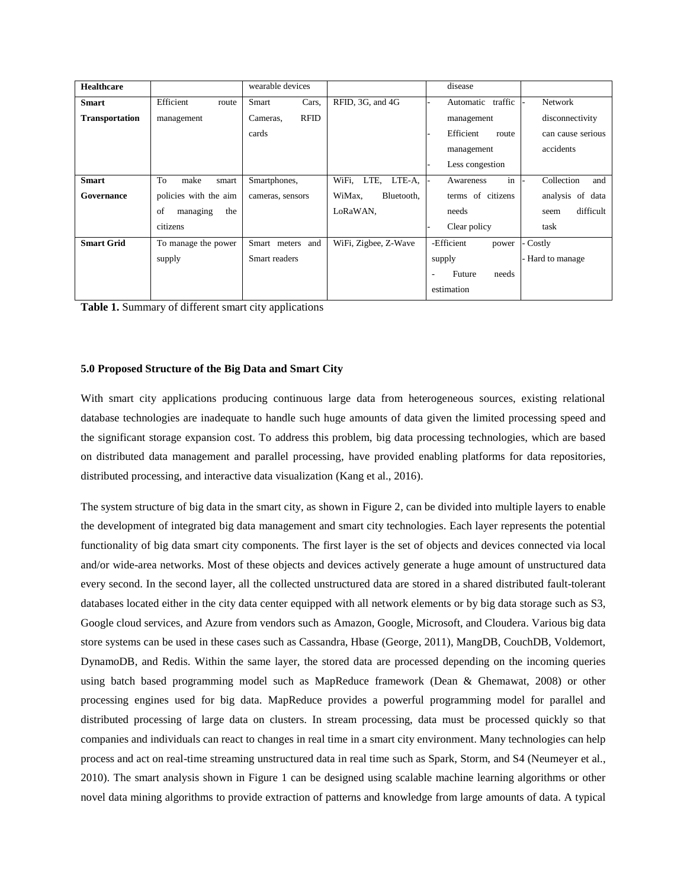| <b>Healthcare</b>     |                       | wearable devices        |                         | disease              |                   |
|-----------------------|-----------------------|-------------------------|-------------------------|----------------------|-------------------|
| <b>Smart</b>          | Efficient<br>route    | Cars.<br>Smart          | RFID, 3G, and 4G        | Automatic traffic    | <b>Network</b>    |
| <b>Transportation</b> | management            | <b>RFID</b><br>Cameras, |                         | management           | disconnectivity   |
|                       |                       | cards                   |                         | Efficient<br>route   | can cause serious |
|                       |                       |                         |                         | management           | accidents         |
|                       |                       |                         |                         | Less congestion      |                   |
| <b>Smart</b>          | To<br>make<br>smart   | Smartphones,            | WiFi,<br>LTE.<br>LTE-A. | in<br>Awareness      | Collection<br>and |
| Governance            | policies with the aim | cameras, sensors        | WiMax.<br>Bluetooth,    | terms of citizens    | analysis of data  |
|                       | of<br>the<br>managing |                         | LoRaWAN,                | needs                | difficult<br>seem |
|                       | citizens              |                         |                         | Clear policy         | task              |
| <b>Smart Grid</b>     | To manage the power   | and<br>Smart meters     | WiFi, Zigbee, Z-Wave    | -Efficient<br>power  | Costly            |
|                       | supply                | Smart readers           |                         | supply               | Hard to manage    |
|                       |                       |                         |                         | Future<br>needs<br>۰ |                   |
|                       |                       |                         |                         | estimation           |                   |

**Table 1.** Summary of different smart city applications

## **5.0 Proposed Structure of the Big Data and Smart City**

With smart city applications producing continuous large data from heterogeneous sources, existing relational database technologies are inadequate to handle such huge amounts of data given the limited processing speed and the significant storage expansion cost. To address this problem, big data processing technologies, which are based on distributed data management and parallel processing, have provided enabling platforms for data repositories, distributed processing, and interactive data visualization (Kang et al., 2016).

The system structure of big data in the smart city, as shown in Figure 2, can be divided into multiple layers to enable the development of integrated big data management and smart city technologies. Each layer represents the potential functionality of big data smart city components. The first layer is the set of objects and devices connected via local and/or wide-area networks. Most of these objects and devices actively generate a huge amount of unstructured data every second. In the second layer, all the collected unstructured data are stored in a shared distributed fault-tolerant databases located either in the city data center equipped with all network elements or by big data storage such as S3, Google cloud services, and Azure from vendors such as Amazon, Google, Microsoft, and Cloudera. Various big data store systems can be used in these cases such as Cassandra, Hbase (George, 2011), MangDB, CouchDB, Voldemort, DynamoDB, and Redis. Within the same layer, the stored data are processed depending on the incoming queries using batch based programming model such as MapReduce framework (Dean & Ghemawat, 2008) or other processing engines used for big data. MapReduce provides a powerful programming model for parallel and distributed processing of large data on clusters. In stream processing, data must be processed quickly so that companies and individuals can react to changes in real time in a smart city environment. Many technologies can help process and act on real-time streaming unstructured data in real time such as Spark, Storm, and S4 (Neumeyer et al., 2010). The smart analysis shown in Figure 1 can be designed using scalable machine learning algorithms or other novel data mining algorithms to provide extraction of patterns and knowledge from large amounts of data. A typical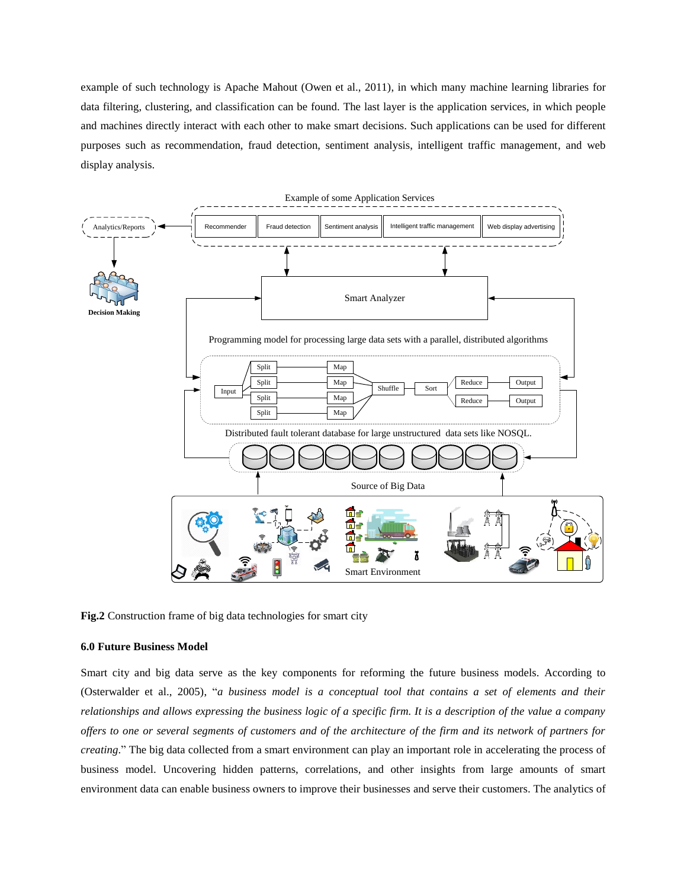example of such technology is Apache Mahout (Owen et al., 2011), in which many machine learning libraries for data filtering, clustering, and classification can be found. The last layer is the application services, in which people and machines directly interact with each other to make smart decisions. Such applications can be used for different purposes such as recommendation, fraud detection, sentiment analysis, intelligent traffic management, and web display analysis.



**Fig.2** Construction frame of big data technologies for smart city

## **6.0 Future Business Model**

Smart city and big data serve as the key components for reforming the future business models. According to (Osterwalder et al., 2005), "*a business model is a conceptual tool that contains a set of elements and their relationships and allows expressing the business logic of a specific firm. It is a description of the value a company offers to one or several segments of customers and of the architecture of the firm and its network of partners for creating*." The big data collected from a smart environment can play an important role in accelerating the process of business model. Uncovering hidden patterns, correlations, and other insights from large amounts of smart environment data can enable business owners to improve their businesses and serve their customers. The analytics of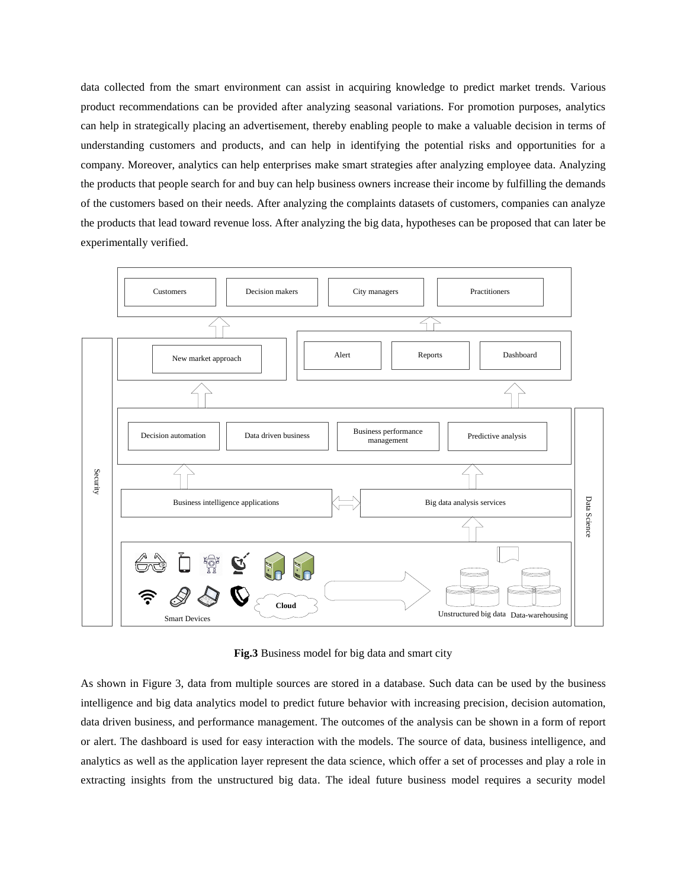data collected from the smart environment can assist in acquiring knowledge to predict market trends. Various product recommendations can be provided after analyzing seasonal variations. For promotion purposes, analytics can help in strategically placing an advertisement, thereby enabling people to make a valuable decision in terms of understanding customers and products, and can help in identifying the potential risks and opportunities for a company. Moreover, analytics can help enterprises make smart strategies after analyzing employee data. Analyzing the products that people search for and buy can help business owners increase their income by fulfilling the demands of the customers based on their needs. After analyzing the complaints datasets of customers, companies can analyze the products that lead toward revenue loss. After analyzing the big data, hypotheses can be proposed that can later be experimentally verified.



**Fig.3** Business model for big data and smart city

As shown in Figure 3, data from multiple sources are stored in a database. Such data can be used by the business intelligence and big data analytics model to predict future behavior with increasing precision, decision automation, data driven business, and performance management. The outcomes of the analysis can be shown in a form of report or alert. The dashboard is used for easy interaction with the models. The source of data, business intelligence, and analytics as well as the application layer represent the data science, which offer a set of processes and play a role in extracting insights from the unstructured big data. The ideal future business model requires a security model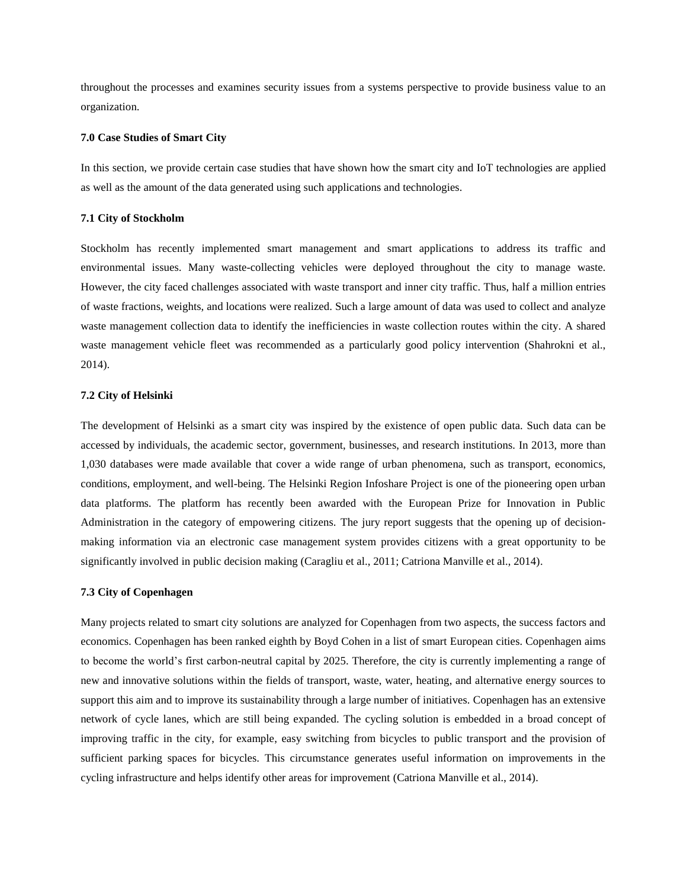throughout the processes and examines security issues from a systems perspective to provide business value to an organization.

#### **7.0 Case Studies of Smart City**

In this section, we provide certain case studies that have shown how the smart city and IoT technologies are applied as well as the amount of the data generated using such applications and technologies.

#### **7.1 City of Stockholm**

Stockholm has recently implemented smart management and smart applications to address its traffic and environmental issues. Many waste-collecting vehicles were deployed throughout the city to manage waste. However, the city faced challenges associated with waste transport and inner city traffic. Thus, half a million entries of waste fractions, weights, and locations were realized. Such a large amount of data was used to collect and analyze waste management collection data to identify the inefficiencies in waste collection routes within the city. A shared waste management vehicle fleet was recommended as a particularly good policy intervention (Shahrokni et al., 2014).

## **7.2 City of Helsinki**

The development of Helsinki as a smart city was inspired by the existence of open public data. Such data can be accessed by individuals, the academic sector, government, businesses, and research institutions. In 2013, more than 1,030 databases were made available that cover a wide range of urban phenomena, such as transport, economics, conditions, employment, and well-being. The Helsinki Region Infoshare Project is one of the pioneering open urban data platforms. The platform has recently been awarded with the European Prize for Innovation in Public Administration in the category of empowering citizens. The jury report suggests that the opening up of decisionmaking information via an electronic case management system provides citizens with a great opportunity to be significantly involved in public decision making (Caragliu et al., 2011; Catriona Manville et al., 2014).

#### **7.3 City of Copenhagen**

Many projects related to smart city solutions are analyzed for Copenhagen from two aspects, the success factors and economics. Copenhagen has been ranked eighth by Boyd Cohen in a list of smart European cities. Copenhagen aims to become the world's first carbon-neutral capital by 2025. Therefore, the city is currently implementing a range of new and innovative solutions within the fields of transport, waste, water, heating, and alternative energy sources to support this aim and to improve its sustainability through a large number of initiatives. Copenhagen has an extensive network of cycle lanes, which are still being expanded. The cycling solution is embedded in a broad concept of improving traffic in the city, for example, easy switching from bicycles to public transport and the provision of sufficient parking spaces for bicycles. This circumstance generates useful information on improvements in the cycling infrastructure and helps identify other areas for improvement (Catriona Manville et al., 2014).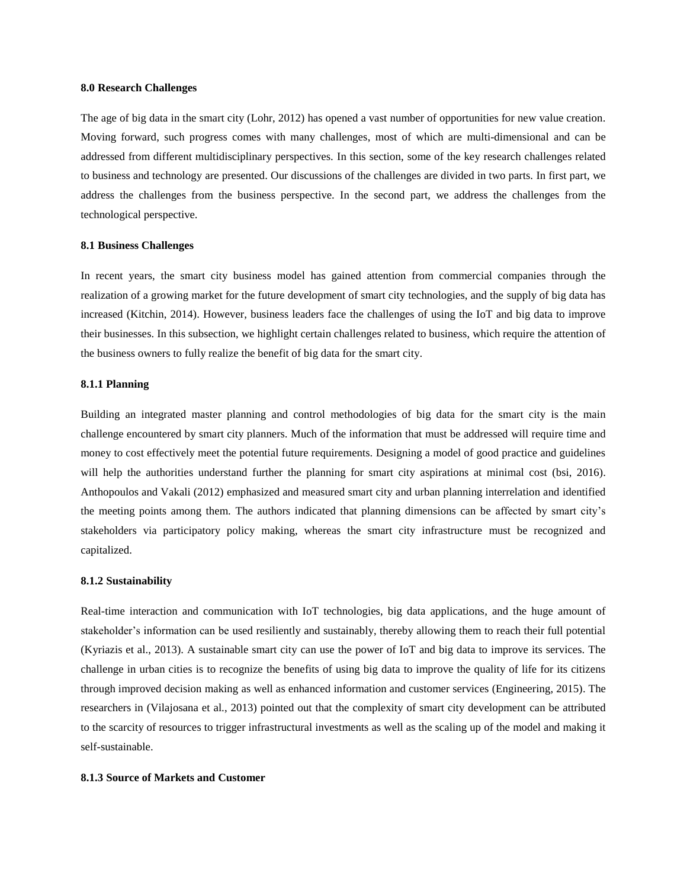#### **8.0 Research Challenges**

The age of big data in the smart city (Lohr, 2012) has opened a vast number of opportunities for new value creation. Moving forward, such progress comes with many challenges, most of which are multi-dimensional and can be addressed from different multidisciplinary perspectives. In this section, some of the key research challenges related to business and technology are presented. Our discussions of the challenges are divided in two parts. In first part, we address the challenges from the business perspective. In the second part, we address the challenges from the technological perspective.

#### **8.1 Business Challenges**

In recent years, the smart city business model has gained attention from commercial companies through the realization of a growing market for the future development of smart city technologies, and the supply of big data has increased (Kitchin, 2014). However, business leaders face the challenges of using the IoT and big data to improve their businesses. In this subsection, we highlight certain challenges related to business, which require the attention of the business owners to fully realize the benefit of big data for the smart city.

### **8.1.1 Planning**

Building an integrated master planning and control methodologies of big data for the smart city is the main challenge encountered by smart city planners. Much of the information that must be addressed will require time and money to cost effectively meet the potential future requirements. Designing a model of good practice and guidelines will help the authorities understand further the planning for smart city aspirations at minimal cost (bsi, 2016). Anthopoulos and Vakali (2012) emphasized and measured smart city and urban planning interrelation and identified the meeting points among them. The authors indicated that planning dimensions can be affected by smart city's stakeholders via participatory policy making, whereas the smart city infrastructure must be recognized and capitalized.

#### **8.1.2 Sustainability**

Real-time interaction and communication with IoT technologies, big data applications, and the huge amount of stakeholder's information can be used resiliently and sustainably, thereby allowing them to reach their full potential (Kyriazis et al., 2013). A sustainable smart city can use the power of IoT and big data to improve its services. The challenge in urban cities is to recognize the benefits of using big data to improve the quality of life for its citizens through improved decision making as well as enhanced information and customer services (Engineering, 2015). The researchers in (Vilajosana et al., 2013) pointed out that the complexity of smart city development can be attributed to the scarcity of resources to trigger infrastructural investments as well as the scaling up of the model and making it self-sustainable.

## **8.1.3 Source of Markets and Customer**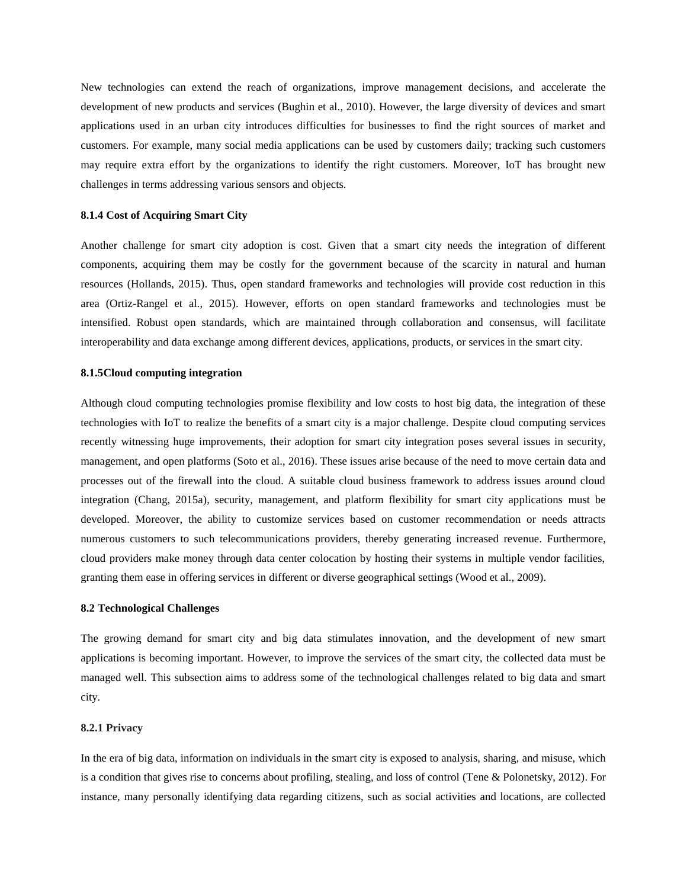New technologies can extend the reach of organizations, improve management decisions, and accelerate the development of new products and services (Bughin et al., 2010). However, the large diversity of devices and smart applications used in an urban city introduces difficulties for businesses to find the right sources of market and customers. For example, many social media applications can be used by customers daily; tracking such customers may require extra effort by the organizations to identify the right customers. Moreover, IoT has brought new challenges in terms addressing various sensors and objects.

#### **8.1.4 Cost of Acquiring Smart City**

Another challenge for smart city adoption is cost. Given that a smart city needs the integration of different components, acquiring them may be costly for the government because of the scarcity in natural and human resources (Hollands, 2015). Thus, open standard frameworks and technologies will provide cost reduction in this area (Ortiz-Rangel et al., 2015). However, efforts on open standard frameworks and technologies must be intensified. Robust open standards, which are maintained through collaboration and consensus, will facilitate interoperability and data exchange among different devices, applications, products, or services in the smart city.

#### **8.1.5Cloud computing integration**

Although cloud computing technologies promise flexibility and low costs to host big data, the integration of these technologies with IoT to realize the benefits of a smart city is a major challenge. Despite cloud computing services recently witnessing huge improvements, their adoption for smart city integration poses several issues in security, management, and open platforms (Soto et al., 2016). These issues arise because of the need to move certain data and processes out of the firewall into the cloud. A suitable cloud business framework to address issues around cloud integration (Chang, 2015a), security, management, and platform flexibility for smart city applications must be developed. Moreover, the ability to customize services based on customer recommendation or needs attracts numerous customers to such telecommunications providers, thereby generating increased revenue. Furthermore, cloud providers make money through data center colocation by hosting their systems in multiple vendor facilities, granting them ease in offering services in different or diverse geographical settings (Wood et al., 2009).

#### **8.2 Technological Challenges**

The growing demand for smart city and big data stimulates innovation, and the development of new smart applications is becoming important. However, to improve the services of the smart city, the collected data must be managed well. This subsection aims to address some of the technological challenges related to big data and smart city.

## **8.2.1 Privacy**

In the era of big data, information on individuals in the smart city is exposed to analysis, sharing, and misuse, which is a condition that gives rise to concerns about profiling, stealing, and loss of control (Tene & Polonetsky, 2012). For instance, many personally identifying data regarding citizens, such as social activities and locations, are collected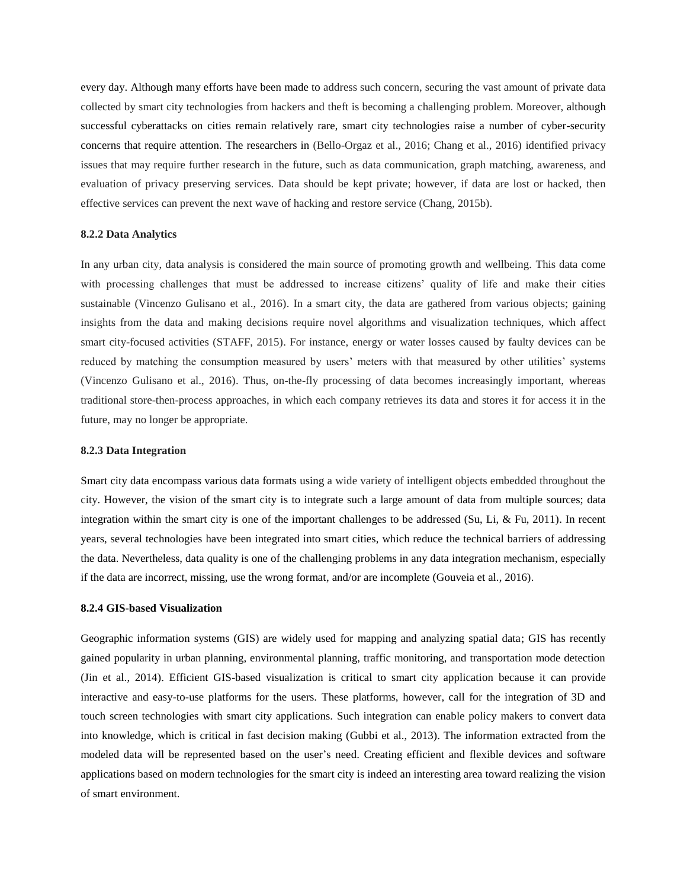every day. Although many efforts have been made to address such concern, securing the vast amount of private data collected by smart city technologies from hackers and theft is becoming a challenging problem. Moreover, although successful cyberattacks on cities remain relatively rare, smart city technologies raise a number of cyber-security concerns that require attention. The researchers in (Bello-Orgaz et al., 2016; Chang et al., 2016) identified privacy issues that may require further research in the future, such as data communication, graph matching, awareness, and evaluation of privacy preserving services. Data should be kept private; however, if data are lost or hacked, then effective services can prevent the next wave of hacking and restore service (Chang, 2015b).

#### **8.2.2 Data Analytics**

In any urban city, data analysis is considered the main source of promoting growth and wellbeing. This data come with processing challenges that must be addressed to increase citizens' quality of life and make their cities sustainable (Vincenzo Gulisano et al., 2016). In a smart city, the data are gathered from various objects; gaining insights from the data and making decisions require novel algorithms and visualization techniques, which affect smart city-focused activities (STAFF, 2015). For instance, energy or water losses caused by faulty devices can be reduced by matching the consumption measured by users' meters with that measured by other utilities' systems (Vincenzo Gulisano et al., 2016). Thus, on-the-fly processing of data becomes increasingly important, whereas traditional store-then-process approaches, in which each company retrieves its data and stores it for access it in the future, may no longer be appropriate.

## **8.2.3 Data Integration**

Smart city data encompass various data formats using a wide variety of intelligent objects embedded throughout the city. However, the vision of the smart city is to integrate such a large amount of data from multiple sources; data integration within the smart city is one of the important challenges to be addressed (Su, Li, & Fu, 2011). In recent years, several technologies have been integrated into smart cities, which reduce the technical barriers of addressing the data. Nevertheless, data quality is one of the challenging problems in any data integration mechanism, especially if the data are incorrect, missing, use the wrong format, and/or are incomplete (Gouveia et al., 2016).

#### **8.2.4 GIS-based Visualization**

Geographic information systems (GIS) are widely used for mapping and analyzing spatial data; GIS has recently gained popularity in urban planning, environmental planning, traffic monitoring, and transportation mode detection (Jin et al., 2014). Efficient GIS-based visualization is critical to smart city application because it can provide interactive and easy-to-use platforms for the users. These platforms, however, call for the integration of 3D and touch screen technologies with smart city applications. Such integration can enable policy makers to convert data into knowledge, which is critical in fast decision making (Gubbi et al., 2013). The information extracted from the modeled data will be represented based on the user's need. Creating efficient and flexible devices and software applications based on modern technologies for the smart city is indeed an interesting area toward realizing the vision of smart environment.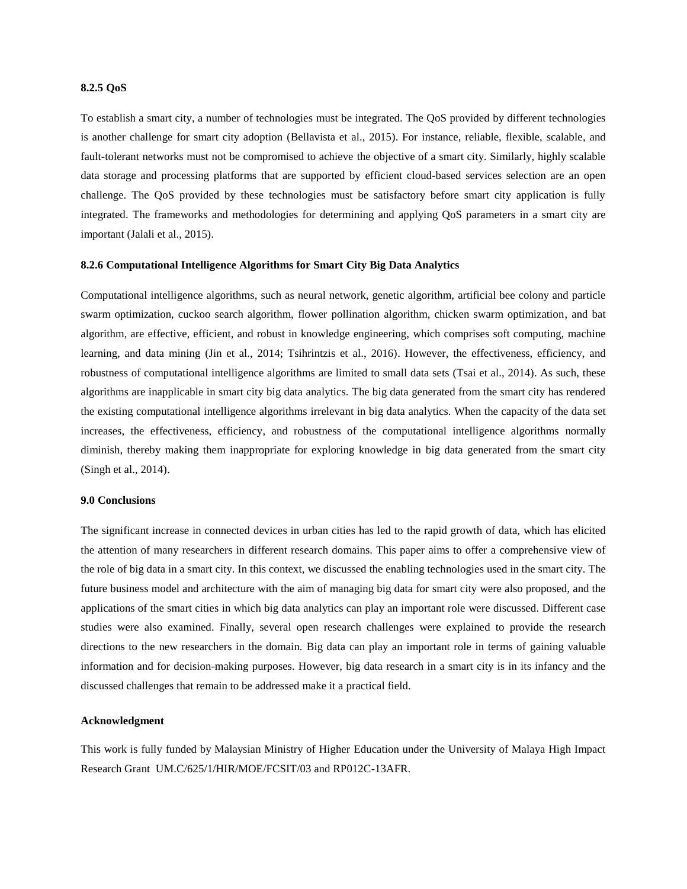## **8.2.5 QoS**

To establish a smart city, a number of technologies must be integrated. The QoS provided by different technologies is another challenge for smart city adoption (Bellavista et al., 2015). For instance, reliable, flexible, scalable, and fault-tolerant networks must not be compromised to achieve the objective of a smart city. Similarly, highly scalable data storage and processing platforms that are supported by efficient cloud-based services selection are an open challenge. The QoS provided by these technologies must be satisfactory before smart city application is fully integrated. The frameworks and methodologies for determining and applying QoS parameters in a smart city are important (Jalali et al., 2015).

## **8.2.6 Computational Intelligence Algorithms for Smart City Big Data Analytics**

Computational intelligence algorithms, such as neural network, genetic algorithm, artificial bee colony and particle swarm optimization, cuckoo search algorithm, flower pollination algorithm, chicken swarm optimization, and bat algorithm, are effective, efficient, and robust in knowledge engineering, which comprises soft computing, machine learning, and data mining (Jin et al., 2014; Tsihrintzis et al., 2016). However, the effectiveness, efficiency, and robustness of computational intelligence algorithms are limited to small data sets (Tsai et al., 2014). As such, these algorithms are inapplicable in smart city big data analytics. The big data generated from the smart city has rendered the existing computational intelligence algorithms irrelevant in big data analytics. When the capacity of the data set increases, the effectiveness, efficiency, and robustness of the computational intelligence algorithms normally diminish, thereby making them inappropriate for exploring knowledge in big data generated from the smart city (Singh et al., 2014).

#### **9.0 Conclusions**

The significant increase in connected devices in urban cities has led to the rapid growth of data, which has elicited the attention of many researchers in different research domains. This paper aims to offer a comprehensive view of the role of big data in a smart city. In this context, we discussed the enabling technologies used in the smart city. The future business model and architecture with the aim of managing big data for smart city were also proposed, and the applications of the smart cities in which big data analytics can play an important role were discussed. Different case studies were also examined. Finally, several open research challenges were explained to provide the research directions to the new researchers in the domain. Big data can play an important role in terms of gaining valuable information and for decision-making purposes. However, big data research in a smart city is in its infancy and the discussed challenges that remain to be addressed make it a practical field.

## **Acknowledgment**

This work is fully funded by Malaysian Ministry of Higher Education under the University of Malaya High Impact Research Grant UM.C/625/1/HIR/MOE/FCSIT/03 and RP012C-13AFR.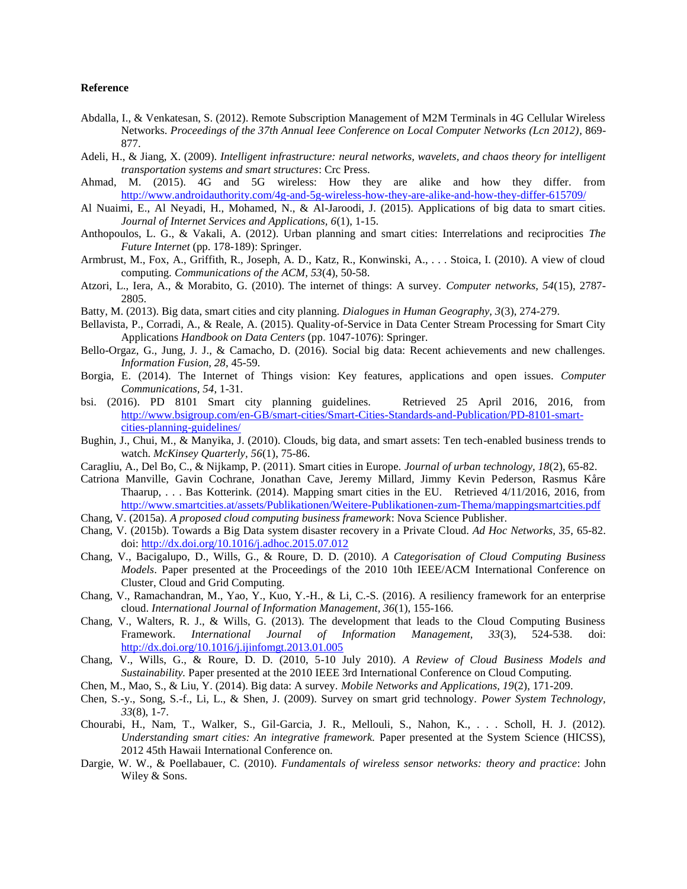## **Reference**

- Abdalla, I., & Venkatesan, S. (2012). Remote Subscription Management of M2M Terminals in 4G Cellular Wireless Networks. *Proceedings of the 37th Annual Ieee Conference on Local Computer Networks (Lcn 2012)*, 869- 877.
- Adeli, H., & Jiang, X. (2009). *Intelligent infrastructure: neural networks, wavelets, and chaos theory for intelligent transportation systems and smart structures*: Crc Press.
- Ahmad, M. (2015). 4G and 5G wireless: How they are alike and how they differ. from <http://www.androidauthority.com/4g-and-5g-wireless-how-they-are-alike-and-how-they-differ-615709/>
- Al Nuaimi, E., Al Neyadi, H., Mohamed, N., & Al-Jaroodi, J. (2015). Applications of big data to smart cities. *Journal of Internet Services and Applications, 6*(1), 1-15.
- Anthopoulos, L. G., & Vakali, A. (2012). Urban planning and smart cities: Interrelations and reciprocities *The Future Internet* (pp. 178-189): Springer.
- Armbrust, M., Fox, A., Griffith, R., Joseph, A. D., Katz, R., Konwinski, A., . . . Stoica, I. (2010). A view of cloud computing. *Communications of the ACM, 53*(4), 50-58.
- Atzori, L., Iera, A., & Morabito, G. (2010). The internet of things: A survey. *Computer networks, 54*(15), 2787- 2805.
- Batty, M. (2013). Big data, smart cities and city planning. *Dialogues in Human Geography, 3*(3), 274-279.
- Bellavista, P., Corradi, A., & Reale, A. (2015). Quality-of-Service in Data Center Stream Processing for Smart City Applications *Handbook on Data Centers* (pp. 1047-1076): Springer.
- Bello-Orgaz, G., Jung, J. J., & Camacho, D. (2016). Social big data: Recent achievements and new challenges. *Information Fusion, 28*, 45-59.
- Borgia, E. (2014). The Internet of Things vision: Key features, applications and open issues. *Computer Communications, 54*, 1-31.
- bsi. (2016). PD 8101 Smart city planning guidelines. Retrieved 25 April 2016, 2016, from [http://www.bsigroup.com/en-GB/smart-cities/Smart-Cities-Standards-and-Publication/PD-8101-smart](http://www.bsigroup.com/en-GB/smart-cities/Smart-Cities-Standards-and-Publication/PD-8101-smart-cities-planning-guidelines/)[cities-planning-guidelines/](http://www.bsigroup.com/en-GB/smart-cities/Smart-Cities-Standards-and-Publication/PD-8101-smart-cities-planning-guidelines/)
- Bughin, J., Chui, M., & Manyika, J. (2010). Clouds, big data, and smart assets: Ten tech-enabled business trends to watch. *McKinsey Quarterly, 56*(1), 75-86.
- Caragliu, A., Del Bo, C., & Nijkamp, P. (2011). Smart cities in Europe. *Journal of urban technology, 18*(2), 65-82.
- Catriona Manville, Gavin Cochrane, Jonathan Cave, Jeremy Millard, Jimmy Kevin Pederson, Rasmus Kåre Thaarup, . . . Bas Kotterink. (2014). Mapping smart cities in the EU. Retrieved 4/11/2016, 2016, from <http://www.smartcities.at/assets/Publikationen/Weitere-Publikationen-zum-Thema/mappingsmartcities.pdf>
- Chang, V. (2015a). *A proposed cloud computing business framework*: Nova Science Publisher.
- Chang, V. (2015b). Towards a Big Data system disaster recovery in a Private Cloud. *Ad Hoc Networks, 35*, 65-82. doi:<http://dx.doi.org/10.1016/j.adhoc.2015.07.012>
- Chang, V., Bacigalupo, D., Wills, G., & Roure, D. D. (2010). *A Categorisation of Cloud Computing Business Models*. Paper presented at the Proceedings of the 2010 10th IEEE/ACM International Conference on Cluster, Cloud and Grid Computing.
- Chang, V., Ramachandran, M., Yao, Y., Kuo, Y.-H., & Li, C.-S. (2016). A resiliency framework for an enterprise cloud. *International Journal of Information Management, 36*(1), 155-166.
- Chang, V., Walters, R. J., & Wills, G. (2013). The development that leads to the Cloud Computing Business Framework. *International Journal of Information Management, 33*(3), 524-538. doi: <http://dx.doi.org/10.1016/j.ijinfomgt.2013.01.005>
- Chang, V., Wills, G., & Roure, D. D. (2010, 5-10 July 2010). *A Review of Cloud Business Models and Sustainability.* Paper presented at the 2010 IEEE 3rd International Conference on Cloud Computing.
- Chen, M., Mao, S., & Liu, Y. (2014). Big data: A survey. *Mobile Networks and Applications, 19*(2), 171-209.
- Chen, S.-y., Song, S.-f., Li, L., & Shen, J. (2009). Survey on smart grid technology. *Power System Technology, 33*(8), 1-7.
- Chourabi, H., Nam, T., Walker, S., Gil-Garcia, J. R., Mellouli, S., Nahon, K., . . . Scholl, H. J. (2012). *Understanding smart cities: An integrative framework.* Paper presented at the System Science (HICSS), 2012 45th Hawaii International Conference on.
- Dargie, W. W., & Poellabauer, C. (2010). *Fundamentals of wireless sensor networks: theory and practice*: John Wiley & Sons.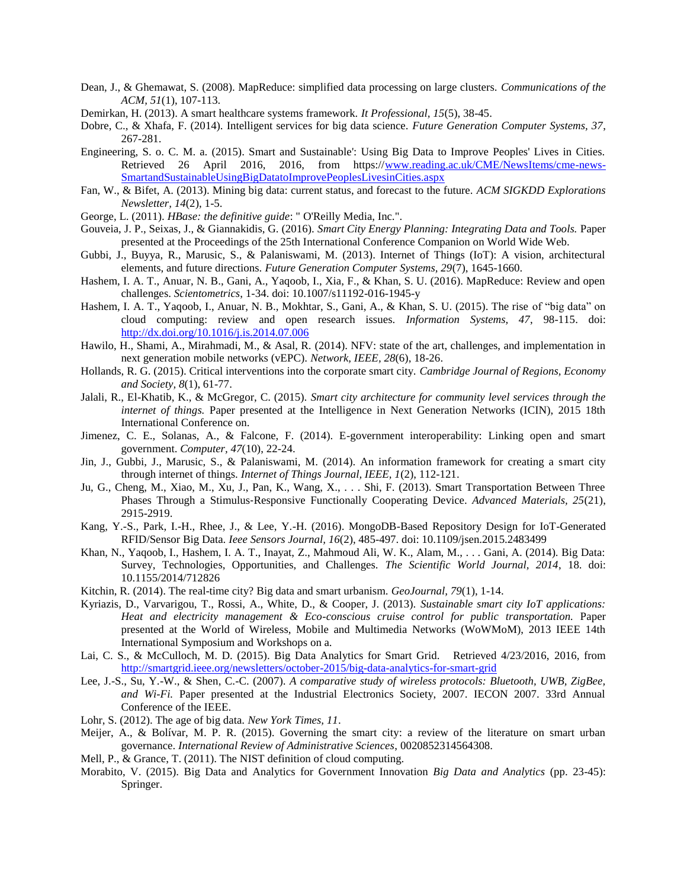- Dean, J., & Ghemawat, S. (2008). MapReduce: simplified data processing on large clusters. *Communications of the ACM, 51*(1), 107-113.
- Demirkan, H. (2013). A smart healthcare systems framework. *It Professional, 15*(5), 38-45.
- Dobre, C., & Xhafa, F. (2014). Intelligent services for big data science. *Future Generation Computer Systems, 37*, 267-281.
- Engineering, S. o. C. M. a. (2015). Smart and Sustainable': Using Big Data to Improve Peoples' Lives in Cities. Retrieved 26 April 2016, 2016, from https:/[/www.reading.ac.uk/CME/NewsItems/cme-news-](http://www.reading.ac.uk/CME/NewsItems/cme-news-SmartandSustainableUsingBigDatatoImprovePeoplesLivesinCities.aspx)[SmartandSustainableUsingBigDatatoImprovePeoplesLivesinCities.aspx](http://www.reading.ac.uk/CME/NewsItems/cme-news-SmartandSustainableUsingBigDatatoImprovePeoplesLivesinCities.aspx)
- Fan, W., & Bifet, A. (2013). Mining big data: current status, and forecast to the future. *ACM SIGKDD Explorations Newsletter, 14*(2), 1-5.
- George, L. (2011). *HBase: the definitive guide*: " O'Reilly Media, Inc.".
- Gouveia, J. P., Seixas, J., & Giannakidis, G. (2016). *Smart City Energy Planning: Integrating Data and Tools.* Paper presented at the Proceedings of the 25th International Conference Companion on World Wide Web.
- Gubbi, J., Buyya, R., Marusic, S., & Palaniswami, M. (2013). Internet of Things (IoT): A vision, architectural elements, and future directions. *Future Generation Computer Systems, 29*(7), 1645-1660.
- Hashem, I. A. T., Anuar, N. B., Gani, A., Yaqoob, I., Xia, F., & Khan, S. U. (2016). MapReduce: Review and open challenges. *Scientometrics*, 1-34. doi: 10.1007/s11192-016-1945-y
- Hashem, I. A. T., Yaqoob, I., Anuar, N. B., Mokhtar, S., Gani, A., & Khan, S. U. (2015). The rise of "big data" on cloud computing: review and open research issues. *Information Systems, 47*, 98-115. doi: <http://dx.doi.org/10.1016/j.is.2014.07.006>
- Hawilo, H., Shami, A., Mirahmadi, M., & Asal, R. (2014). NFV: state of the art, challenges, and implementation in next generation mobile networks (vEPC). *Network, IEEE, 28*(6), 18-26.
- Hollands, R. G. (2015). Critical interventions into the corporate smart city. *Cambridge Journal of Regions, Economy and Society, 8*(1), 61-77.
- Jalali, R., El-Khatib, K., & McGregor, C. (2015). *Smart city architecture for community level services through the internet of things.* Paper presented at the Intelligence in Next Generation Networks (ICIN), 2015 18th International Conference on.
- Jimenez, C. E., Solanas, A., & Falcone, F. (2014). E-government interoperability: Linking open and smart government. *Computer, 47*(10), 22-24.
- Jin, J., Gubbi, J., Marusic, S., & Palaniswami, M. (2014). An information framework for creating a smart city through internet of things. *Internet of Things Journal, IEEE, 1*(2), 112-121.
- Ju, G., Cheng, M., Xiao, M., Xu, J., Pan, K., Wang, X., . . . Shi, F. (2013). Smart Transportation Between Three Phases Through a Stimulus‐Responsive Functionally Cooperating Device. *Advanced Materials, 25*(21), 2915-2919.
- Kang, Y.-S., Park, I.-H., Rhee, J., & Lee, Y.-H. (2016). MongoDB-Based Repository Design for IoT-Generated RFID/Sensor Big Data. *Ieee Sensors Journal, 16*(2), 485-497. doi: 10.1109/jsen.2015.2483499
- Khan, N., Yaqoob, I., Hashem, I. A. T., Inayat, Z., Mahmoud Ali, W. K., Alam, M., . . . Gani, A. (2014). Big Data: Survey, Technologies, Opportunities, and Challenges. *The Scientific World Journal, 2014*, 18. doi: 10.1155/2014/712826
- Kitchin, R. (2014). The real-time city? Big data and smart urbanism. *GeoJournal, 79*(1), 1-14.
- Kyriazis, D., Varvarigou, T., Rossi, A., White, D., & Cooper, J. (2013). *Sustainable smart city IoT applications: Heat and electricity management & Eco-conscious cruise control for public transportation.* Paper presented at the World of Wireless, Mobile and Multimedia Networks (WoWMoM), 2013 IEEE 14th International Symposium and Workshops on a.
- Lai, C. S., & McCulloch, M. D. (2015). Big Data Analytics for Smart Grid. Retrieved 4/23/2016, 2016, from <http://smartgrid.ieee.org/newsletters/october-2015/big-data-analytics-for-smart-grid>
- Lee, J.-S., Su, Y.-W., & Shen, C.-C. (2007). *A comparative study of wireless protocols: Bluetooth, UWB, ZigBee, and Wi-Fi.* Paper presented at the Industrial Electronics Society, 2007. IECON 2007. 33rd Annual Conference of the IEEE.
- Lohr, S. (2012). The age of big data. *New York Times, 11*.
- Meijer, A., & Bolívar, M. P. R. (2015). Governing the smart city: a review of the literature on smart urban governance. *International Review of Administrative Sciences*, 0020852314564308.
- Mell, P., & Grance, T. (2011). The NIST definition of cloud computing.
- Morabito, V. (2015). Big Data and Analytics for Government Innovation *Big Data and Analytics* (pp. 23-45): Springer.